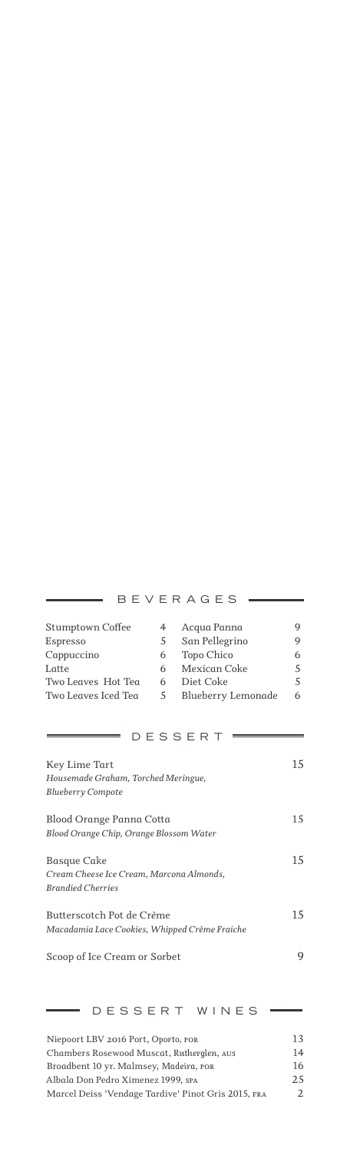#### *Stumptown Coffee 4 Acqua Panna 9 Espresso 5 San Pellegrino 9 Cappuccino 6 Topo Chico 6 Latte 6 Mexican Coke 5 Two Leaves Hot Tea 6 Diet Coke 5 Blueberry Lemonade 6Two Leaves Iced Tea 5* DESSERT  $=$ *Key Lime Tart 15 Housemade Graham, Torched Meringue, Blueberry Compote Blood Orange Panna Cotta 15 Blood Orange Chip, Orange Blossom Water Basque Cake 15 Cream Cheese Ice Cream, Marcona Almonds, Brandied Cherries Butterscotch Pot de Crème 15 Macadamia Lace Cookies, Whipped Crème Fraiche Scoop of Ice Cream or Sorbet 9*

BEVERAGES

### *Niepoort LBV 2016 Port, Oporto, por 13 Chambers Rosewood Muscat, Rutherglen, aus 14 Broadbent 10 yr. Malmsey, Madeira, por 16 Albala Don Pedro Ximenez 1999, spa 25 Marcel Deiss 'Vendage Tardive' Pinot Gris 2015, fra 2*

DESSERT WINES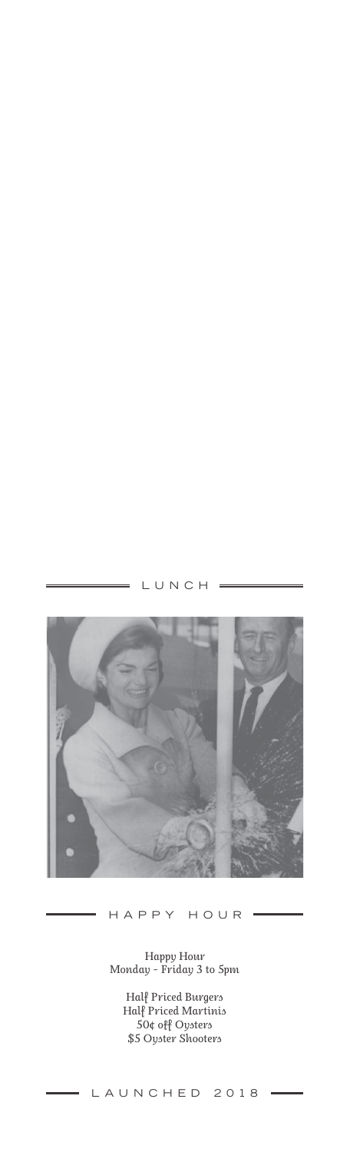## LUNCH =

 $\overline{a}$ 



HAPPY HOUR

 $\equiv$ 

*Happy Hour Monday - Friday 3 to 5pm*

> *Half Priced Burgers Half Priced Martinis 50¢ off Oysters \$5 Oyster Shooters*

## LAUNCHED 2018 =

 $\overline{a}$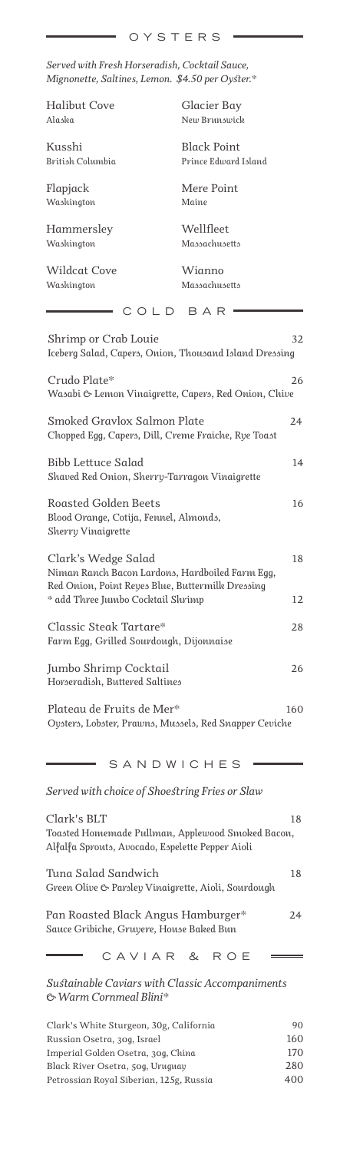*Served with Fresh Horseradish, Cocktail Sauce, Mignonette, Saltines, Lemon. \$4.50 per Oyster.\**

*Halibut Cove Alaska*

*Kusshi British Columbia*

*Flapjack Washington*

*Hammersley Washington*

*Wildcat Cove Washington*

*Glacier Bay New Brunswick* 

*Black Point Prince Edward Island*

*Mere Point Maine*

*Wellfleet Massachusetts*

*Wianno Massachusetts*

 $\equiv$  COLD BAR  $\equiv$ 

| Shrimp or Crab Louie<br>Iceberg Salad, Capers, Onion, Thousand Island Dressing                                             | 32  |
|----------------------------------------------------------------------------------------------------------------------------|-----|
| Crudo Plate*<br>Wasabi & Lemon Vinaigrette, Capers, Red Onion, Chive                                                       | 26  |
| Smoked Gravlox Salmon Plate<br>Chopped Egg, Capers, Dill, Creme Fraiche, Rye Toast                                         | 24  |
| Bibb Lettuce Salad<br>Shaved Red Onion, Sherry-Tarragon Vinaigrette                                                        | 14  |
| Roasted Golden Beets<br>Blood Orange, Cotija, Fennel, Almonds,<br>Sherry Vinaigrette                                       | 16  |
| Clark's Wedge Salad<br>Niman Ranch Bacon Lardons, Hardboiled Farm Egg,<br>Red Onion, Point Reyes Blue, Buttermilk Dressing | 18  |
| * add Three Jumbo Cocktail Shrimp                                                                                          | 12  |
| Classic Steak Tartare*<br>Farm Egg, Grilled Sourdough, Dijonnaise                                                          | 28  |
| Jumbo Shrimp Cocktail<br>Horseradish, Buttered Saltines                                                                    | 26  |
| Plateau de Fruits de Mer*<br>Oysters, Lobster, Prawns, Mussels, Red Snapper Ceviche                                        | 160 |
| SANDWICHES                                                                                                                 |     |
| Served with choice of Shoestring Fries or Slaw                                                                             |     |
| Clark's BLT<br>Toasted Homemade Pullman, Applewood Smoked Bacon,<br>Alfalfa Sprouts, Avocado, Espelette Pepper Aioli       | 18  |
| Tuna Salad Sandwich<br>Green Olive & Parsley Vinaigrette, Aioli, Sourdough                                                 | 18  |
| Pan Roasted Black Angus Hamburger*<br>Sauce Gribiche, Gruyere, House Baked Bun                                             | 24  |
| CAVIAR &<br>ROE                                                                                                            |     |
| Sustainable Caviars with Classic Accompaniments<br>& Warm Cornmeal Blini*                                                  |     |
| Clark's White Sturgeon, 30g, California                                                                                    | 90  |

*Russian Osetra, 30g, Israel 160 Imperial Golden Osetra, 30g, China 170 Black River Osetra, 50g, Uruguay 280 Petrossian Royal Siberian, 125g, Russia 400*